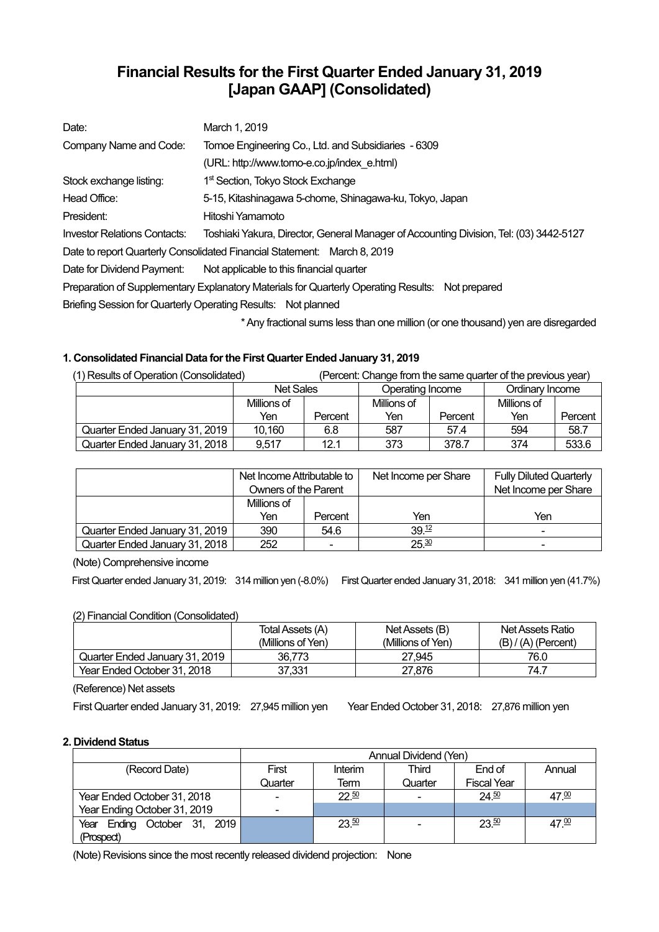# **Financial Results for the First Quarter Ended January 31, 2019 [Japan GAAP] (Consolidated)**

| Date:                                                                                            | March 1, 2019                                                                          |  |  |  |  |
|--------------------------------------------------------------------------------------------------|----------------------------------------------------------------------------------------|--|--|--|--|
| Company Name and Code:                                                                           | Tomoe Engineering Co., Ltd. and Subsidiaries - 6309                                    |  |  |  |  |
|                                                                                                  | (URL: http://www.tomo-e.co.jp/index e.html)                                            |  |  |  |  |
| Stock exchange listing:                                                                          | 1 <sup>st</sup> Section, Tokyo Stock Exchange                                          |  |  |  |  |
| Head Office:                                                                                     | 5-15, Kitashinagawa 5-chome, Shinagawa-ku, Tokyo, Japan                                |  |  |  |  |
| President:                                                                                       | Hitoshi Yamamoto                                                                       |  |  |  |  |
| <b>Investor Relations Contacts:</b>                                                              | Toshiaki Yakura, Director, General Manager of Accounting Division, Tel: (03) 3442-5127 |  |  |  |  |
|                                                                                                  | Date to report Quarterly Consolidated Financial Statement: March 8, 2019               |  |  |  |  |
| Date for Dividend Payment:                                                                       | Not applicable to this financial quarter                                               |  |  |  |  |
| Preparation of Supplementary Explanatory Materials for Quarterly Operating Results: Not prepared |                                                                                        |  |  |  |  |
|                                                                                                  | Briefing Session for Quarterly Operating Results: Not planned                          |  |  |  |  |
|                                                                                                  |                                                                                        |  |  |  |  |

\* Any fractional sums less than one million (or one thousand) yen are disregarded

## **1. Consolidated Financial Data for the First Quarter Ended January 31, 2019**

| (1) Results of Operation (Consolidated) |                  |         |                  |         | (Percent: Change from the same quarter of the previous year) |         |
|-----------------------------------------|------------------|---------|------------------|---------|--------------------------------------------------------------|---------|
|                                         | <b>Net Sales</b> |         | Operating Income |         | Ordinary Income                                              |         |
|                                         | Millions of      |         | Millions of      |         | Millions of                                                  |         |
|                                         | Yen              | Percent | Yen              | Percent | Yen                                                          | Percent |
| Quarter Ended January 31, 2019          | 10.160           | 6.8     | 587              | 57.4    | 594                                                          | 58.7    |
| Quarter Ended January 31, 2018          | 9.517            | 12.1    | 373              | 378.7   | 374                                                          | 533.6   |

|                                | Net Income Attributable to |         | Net Income per Share | <b>Fully Diluted Quarterly</b> |  |
|--------------------------------|----------------------------|---------|----------------------|--------------------------------|--|
|                                | Owners of the Parent       |         |                      | Net Income per Share           |  |
|                                | Millions of                |         |                      |                                |  |
|                                | Yen                        | Percent | Yen                  | Yen                            |  |
| Quarter Ended January 31, 2019 | 390                        | 54.6    | 39 <sup>12</sup>     | $\overline{\phantom{0}}$       |  |
| Quarter Ended January 31, 2018 | 252                        | ۰       | 25.30                | $\overline{\phantom{0}}$       |  |

(Note) Comprehensive income

First Quarter ended January 31, 2019: 314 million yen (-8.0%) First Quarter ended January 31, 2018: 341 million yen (41.7%)

## (2) Financial Condition (Consolidated)

|                                | Total Assets (A)  | Net Assets (B)    | Net Assets Ratio      |
|--------------------------------|-------------------|-------------------|-----------------------|
|                                | (Millions of Yen) | (Millions of Yen) | $(B) / (A)$ (Percent) |
| Quarter Ended January 31, 2019 | 36.773            | 27.945            | 76.0                  |
| Year Ended October 31, 2018    | 37.331            | 27.876            | 74.7                  |

(Reference) Net assets

First Quarter ended January 31, 2019: 27,945 million yen Year Ended October 31, 2018: 27,876 million yen

## **2. Dividend Status**

|                              | Annual Dividend (Yen) |         |         |                    |                   |  |
|------------------------------|-----------------------|---------|---------|--------------------|-------------------|--|
| (Record Date)                | First                 | Interim | Third   | End of             | Annual            |  |
|                              | Quarter               | Term    | Quarter | <b>Fiscal Year</b> |                   |  |
| Year Ended October 31, 2018  | $\blacksquare$        | 22.50   |         | $24^{50}$          | 47. <sup>00</sup> |  |
| Year Ending October 31, 2019 | $\blacksquare$        |         |         |                    |                   |  |
| Year Ending October 31, 2019 |                       | 23.50   |         | 23.50              | 47.00             |  |
| (Prospect)                   |                       |         |         |                    |                   |  |

(Note) Revisions since the most recently released dividend projection: None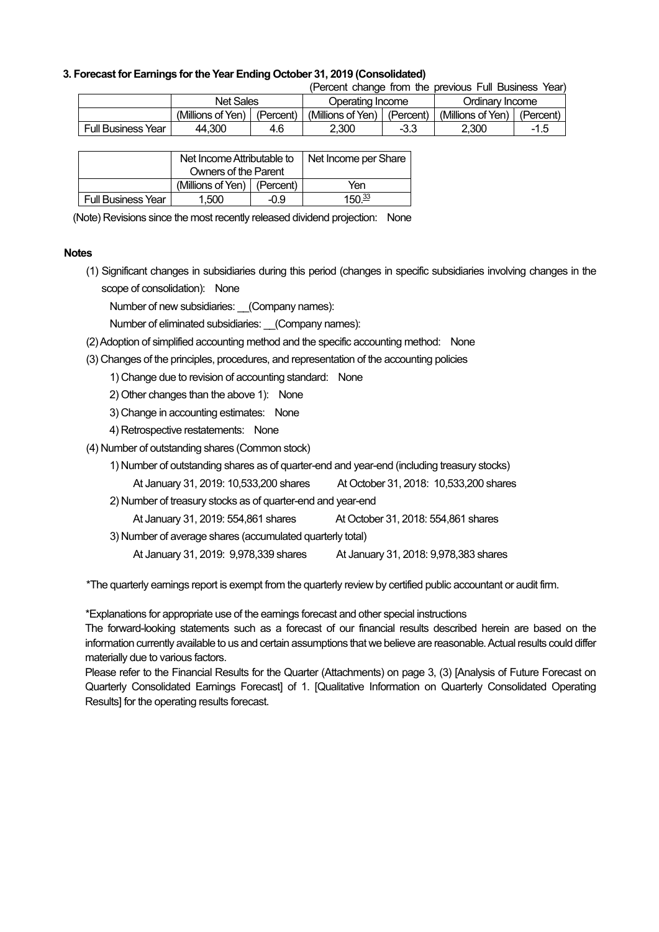### **3. Forecast for Earnings for the Year Ending October 31, 2019 (Consolidated)**

| (Percent change from the previous Full Business Year) |  |  |  |  |  |  |  |  |
|-------------------------------------------------------|--|--|--|--|--|--|--|--|
|-------------------------------------------------------|--|--|--|--|--|--|--|--|

|                           | Net Sales         |           | Operating Income  |           | Ordinarv Income   |           |
|---------------------------|-------------------|-----------|-------------------|-----------|-------------------|-----------|
|                           | (Millions of Yen) | (Percent) | (Millions of Yen) | (Percent) | (Millions of Yen) | (Percent, |
| <b>Full Business Year</b> | 44.300            | 4.6       | 2.300             | $-3.3$    | 2.300             | -1.5      |

|                    | Net Income Attributable to      |  | Net Income per Share |
|--------------------|---------------------------------|--|----------------------|
|                    | Owners of the Parent            |  |                      |
|                    | (Millions of Yen) $ $ (Percent) |  | Yen                  |
| Full Business Year | 1.500<br>-09                    |  | 150 $\frac{33}{2}$   |

(Note) Revisions since the most recently released dividend projection: None

#### **Notes**

(1) Significant changes in subsidiaries during this period (changes in specific subsidiaries involving changes in the scope of consolidation): None

Number of new subsidiaries: \_\_(Company names):

Number of eliminated subsidiaries: (Company names):

- (2) Adoption of simplified accounting method and the specific accounting method: None
- (3) Changes of the principles, procedures, and representation of the accounting policies

1) Change due to revision of accounting standard: None

- 2) Other changes than the above 1): None
- 3) Change in accounting estimates: None
- 4) Retrospective restatements: None
- (4) Number of outstanding shares (Common stock)
	- 1) Number of outstanding shares as of quarter-end and year-end (including treasury stocks)
	- At January 31, 2019: 10,533,200 shares At October 31, 2018: 10,533,200 shares
	- 2) Number of treasury stocks as of quarter-end and year-end
		- At January 31, 2019: 554,861 shares At October 31, 2018: 554,861 shares
	- 3) Number of average shares (accumulated quarterly total)
		- At January 31, 2019: 9,978,339 shares At January 31, 2018: 9,978,383 shares

\*The quarterly earnings report is exempt from the quarterly review by certified public accountant or audit firm.

\*Explanations for appropriate use of the earnings forecast and other special instructions

The forward-looking statements such as a forecast of our financial results described herein are based on the information currently available to us and certain assumptions that we believe are reasonable. Actual results could differ materially due to various factors.

Please refer to the Financial Results for the Quarter (Attachments) on page 3, (3) [Analysis of Future Forecast on Quarterly Consolidated Earnings Forecast1 of 1. [Qualitative Information on Quarterly Consolidated Operating Results] for the operating results forecast.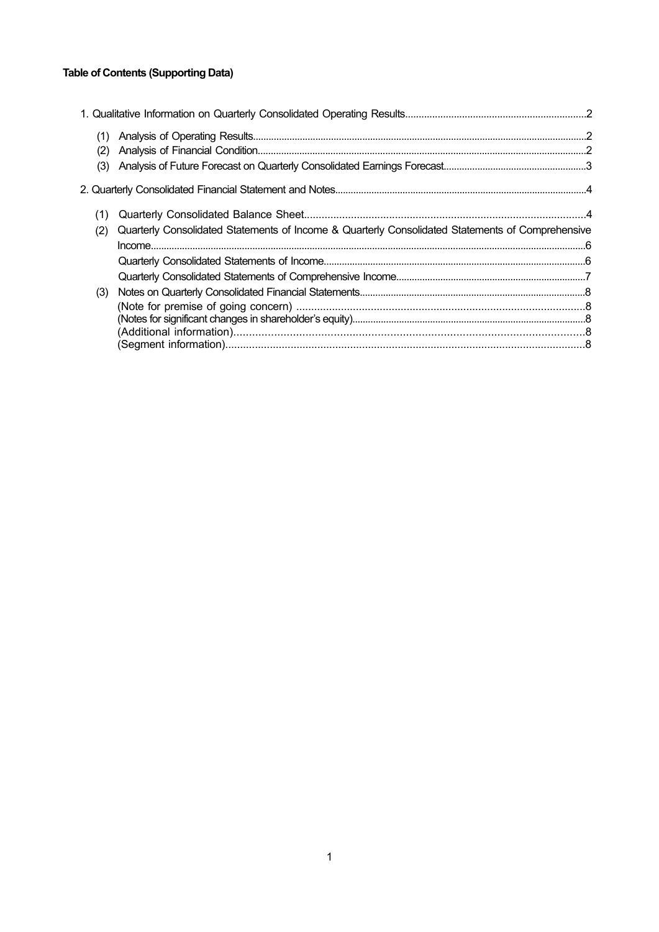## **Table of Contents (Supporting Data)**

| (1) |                                                                                                  |  |
|-----|--------------------------------------------------------------------------------------------------|--|
| (2) |                                                                                                  |  |
| (3) |                                                                                                  |  |
|     |                                                                                                  |  |
| (1) |                                                                                                  |  |
| (2) | Quarterly Consolidated Statements of Income & Quarterly Consolidated Statements of Comprehensive |  |
|     |                                                                                                  |  |
|     |                                                                                                  |  |
|     |                                                                                                  |  |
| (3) |                                                                                                  |  |
|     |                                                                                                  |  |
|     |                                                                                                  |  |
|     |                                                                                                  |  |
|     |                                                                                                  |  |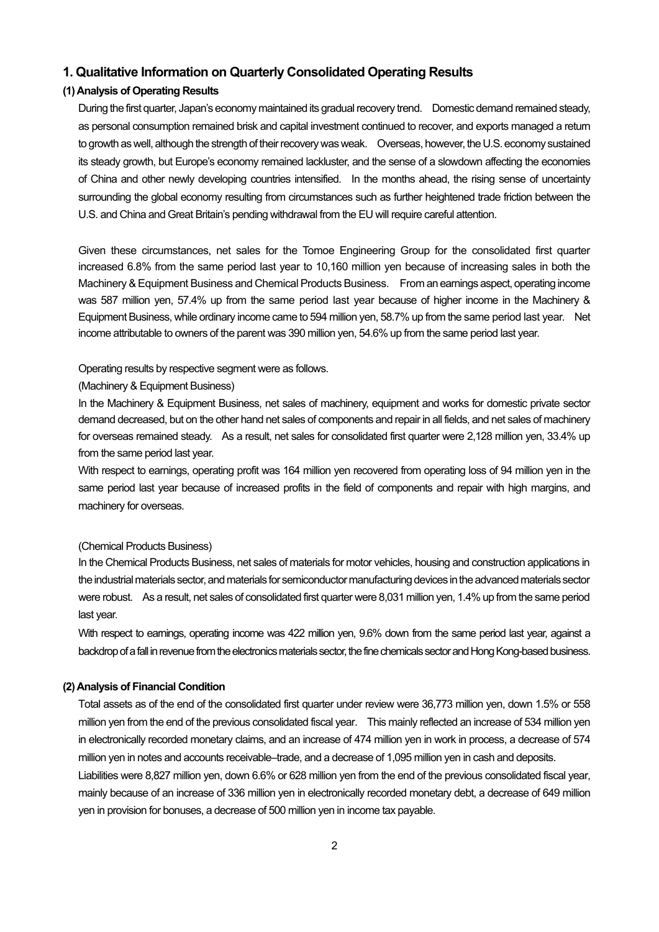## **1. Qualitative Information on Quarterly Consolidated Operating Results**

## **(1) Analysis of Operating Results**

During the first quarter, Japan's economy maintained its gradual recovery trend. Domestic demand remained steady, as personal consumption remained brisk and capital investment continued to recover, and exports managed a return to growth as well, although the strength of their recovery was weak. Overseas, however, the U.S. economy sustained its steady growth, but Europe's economy remained lackluster, and the sense of a slowdown affecting the economies of China and other newly developing countries intensified. In the months ahead, the rising sense of uncertainty surrounding the global economy resulting from circumstances such as further heightened trade friction between the U.S. and China and Great Britain's pending withdrawal from the EU will require careful attention.

Given these circumstances, net sales for the Tomoe Engineering Group for the consolidated first quarter increased 6.8% from the same period last year to 10,160 million yen because of increasing sales in both the Machinery & Equipment Business and Chemical Products Business. From an earnings aspect, operating income was 587 million yen, 57.4% up from the same period last year because of higher income in the Machinery & Equipment Business, while ordinary income came to 594 million yen, 58.7% up from the same period last year. Net income attributable to owners of the parent was 390 million yen, 54.6% up from the same period last year.

#### Operating results by respective segment were as follows.

#### (Machinery & Equipment Business)

In the Machinery & Equipment Business, net sales of machinery, equipment and works for domestic private sector demand decreased, but on the other hand net sales of components and repair in all fields, and net sales of machinery for overseas remained steady. As a result, net sales for consolidated first quarter were 2,128 million yen, 33.4% up from the same period last year.

With respect to earnings, operating profit was 164 million yen recovered from operating loss of 94 million yen in the same period last year because of increased profits in the field of components and repair with high margins, and machinery for overseas.

#### (Chemical Products Business)

In the Chemical Products Business, net sales of materials for motor vehicles, housing and construction applications in the industrial materials sector, and materials for semiconductor manufacturing devices in the advanced materials sector were robust. As a result, net sales of consolidated first quarter were 8,031 million yen, 1.4% up from the same period last year.

With respect to earnings, operating income was 422 million yen, 9.6% down from the same period last year, against a backdrop of a fall in revenue from the electronics materials sector, the fine chemicals sector and Hong Kong-based business.

### **(2) Analysis of Financial Condition**

Total assets as of the end of the consolidated first quarter under review were 36,773 million yen, down 1.5% or 558 million yen from the end of the previous consolidated fiscal year. This mainly reflected an increase of 534 million yen in electronically recorded monetary claims, and an increase of 474 million yen in work in process, a decrease of 574 million yen in notes and accounts receivable–trade, and a decrease of 1,095 million yen in cash and deposits.

Liabilities were 8,827 million yen, down 6.6% or 628 million yen from the end of the previous consolidated fiscal year, mainly because of an increase of 336 million yen in electronically recorded monetary debt, a decrease of 649 million yen in provision for bonuses, a decrease of 500 million yen in income tax payable.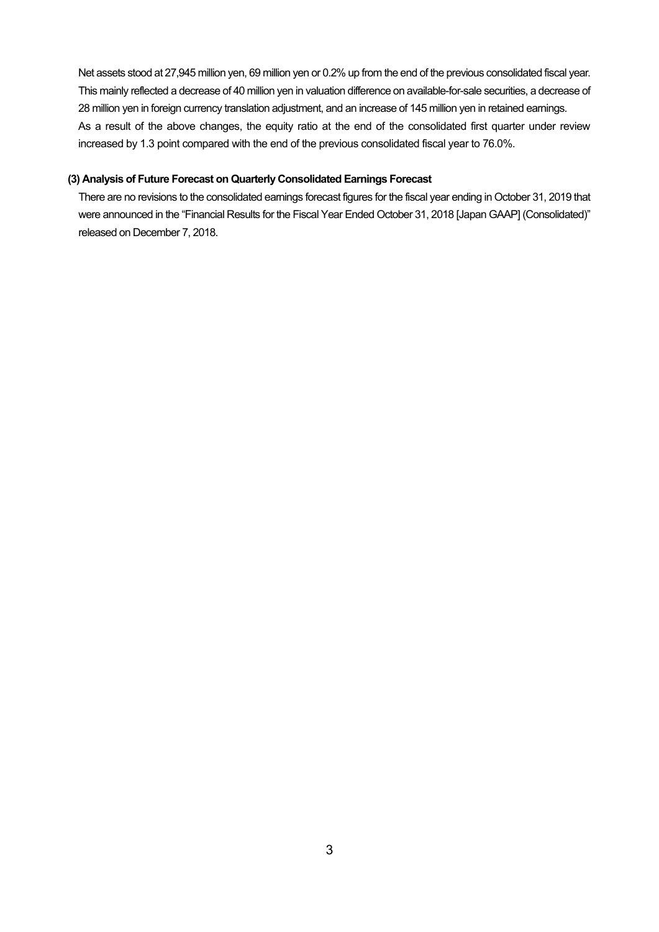Net assets stood at 27,945 million yen, 69 million yen or 0.2% up from the end of the previous consolidated fiscal year. This mainly reflected a decrease of 40 million yen in valuation difference on available-for-sale securities, a decrease of 28 million yen in foreign currency translation adjustment, and an increase of 145 million yen in retained earnings. As a result of the above changes, the equity ratio at the end of the consolidated first quarter under review increased by 1.3 point compared with the end of the previous consolidated fiscal year to 76.0%.

### **(3) Analysis of Future Forecast on Quarterly Consolidated Earnings Forecast**

There are no revisions to the consolidated earnings forecast figures for the fiscal year ending in October 31, 2019 that were announced in the "Financial Results for the Fiscal Year Ended October 31, 2018 [Japan GAAP] (Consolidated)" released on December 7, 2018.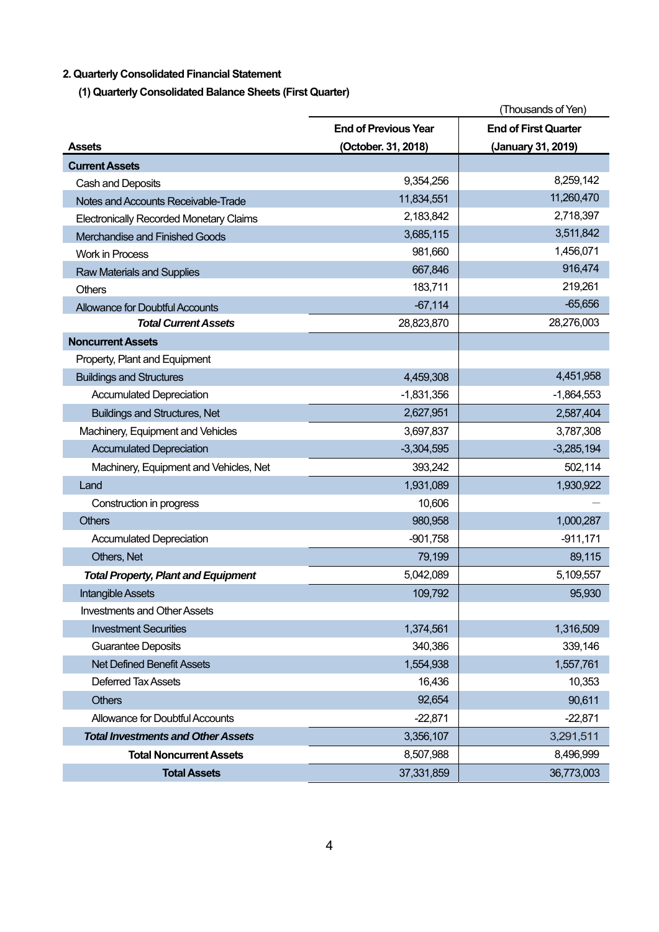## **2. Quarterly Consolidated Financial Statement**

**(1) Quarterly Consolidated Balance Sheets (First Quarter)** 

|                                                |                             | (Thousands of Yen)          |
|------------------------------------------------|-----------------------------|-----------------------------|
|                                                | <b>End of Previous Year</b> | <b>End of First Quarter</b> |
| <b>Assets</b>                                  | (October. 31, 2018)         | (January 31, 2019)          |
| <b>Current Assets</b>                          |                             |                             |
| Cash and Deposits                              | 9,354,256                   | 8,259,142                   |
| Notes and Accounts Receivable-Trade            | 11,834,551                  | 11,260,470                  |
| <b>Electronically Recorded Monetary Claims</b> | 2,183,842                   | 2,718,397                   |
| Merchandise and Finished Goods                 | 3,685,115                   | 3,511,842                   |
| <b>Work in Process</b>                         | 981,660                     | 1,456,071                   |
| <b>Raw Materials and Supplies</b>              | 667,846                     | 916,474                     |
| <b>Others</b>                                  | 183,711                     | 219,261                     |
| <b>Allowance for Doubtful Accounts</b>         | $-67,114$                   | $-65,656$                   |
| <b>Total Current Assets</b>                    | 28,823,870                  | 28,276,003                  |
| <b>Noncurrent Assets</b>                       |                             |                             |
| Property, Plant and Equipment                  |                             |                             |
| <b>Buildings and Structures</b>                | 4,459,308                   | 4,451,958                   |
| <b>Accumulated Depreciation</b>                | $-1,831,356$                | $-1,864,553$                |
| <b>Buildings and Structures, Net</b>           | 2,627,951                   | 2,587,404                   |
| Machinery, Equipment and Vehicles              | 3,697,837                   | 3,787,308                   |
| <b>Accumulated Depreciation</b>                | $-3,304,595$                | $-3,285,194$                |
| Machinery, Equipment and Vehicles, Net         | 393,242                     | 502,114                     |
| Land                                           | 1,931,089                   | 1,930,922                   |
| Construction in progress                       | 10,606                      |                             |
| <b>Others</b>                                  | 980,958                     | 1,000,287                   |
| <b>Accumulated Depreciation</b>                | $-901,758$                  | $-911,171$                  |
| Others, Net                                    | 79,199                      | 89,115                      |
| <b>Total Property, Plant and Equipment</b>     | 5,042,089                   | 5,109,557                   |
| <b>Intangible Assets</b>                       | 109,792                     | 95,930                      |
| <b>Investments and Other Assets</b>            |                             |                             |
| <b>Investment Securities</b>                   | 1,374,561                   | 1,316,509                   |
| <b>Guarantee Deposits</b>                      | 340,386                     | 339,146                     |
| <b>Net Defined Benefit Assets</b>              | 1,554,938                   | 1,557,761                   |
| <b>Deferred Tax Assets</b>                     | 16,436                      | 10,353                      |
| <b>Others</b>                                  | 92,654                      | 90,611                      |
| Allowance for Doubtful Accounts                | $-22,871$                   | $-22,871$                   |
| <b>Total Investments and Other Assets</b>      | 3,356,107                   | 3,291,511                   |
| <b>Total Noncurrent Assets</b>                 | 8,507,988                   | 8,496,999                   |
| <b>Total Assets</b>                            | 37,331,859                  | 36,773,003                  |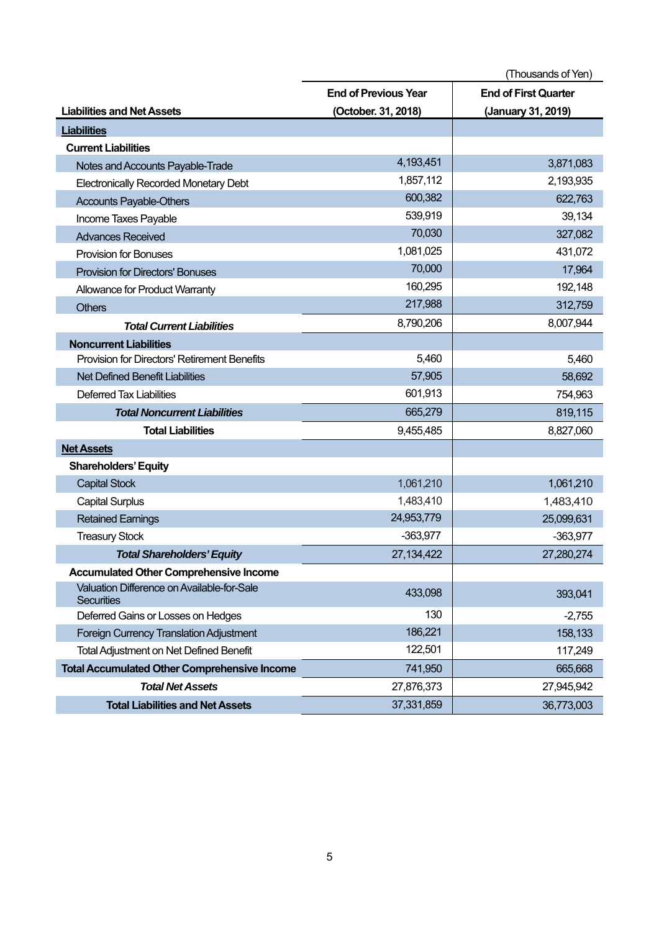|                                                                 |                             | (Thousands of Yen)          |
|-----------------------------------------------------------------|-----------------------------|-----------------------------|
|                                                                 | <b>End of Previous Year</b> | <b>End of First Quarter</b> |
| <b>Liabilities and Net Assets</b>                               | (October. 31, 2018)         | (January 31, 2019)          |
| <b>Liabilities</b>                                              |                             |                             |
| <b>Current Liabilities</b>                                      |                             |                             |
| Notes and Accounts Payable-Trade                                | 4, 193, 451                 | 3,871,083                   |
| <b>Electronically Recorded Monetary Debt</b>                    | 1,857,112                   | 2,193,935                   |
| <b>Accounts Payable-Others</b>                                  | 600,382                     | 622,763                     |
| Income Taxes Payable                                            | 539,919                     | 39,134                      |
| <b>Advances Received</b>                                        | 70,030                      | 327,082                     |
| <b>Provision for Bonuses</b>                                    | 1,081,025                   | 431,072                     |
| <b>Provision for Directors' Bonuses</b>                         | 70,000                      | 17,964                      |
| Allowance for Product Warranty                                  | 160,295                     | 192,148                     |
| <b>Others</b>                                                   | 217,988                     | 312,759                     |
| <b>Total Current Liabilities</b>                                | 8,790,206                   | 8,007,944                   |
| <b>Noncurrent Liabilities</b>                                   |                             |                             |
| <b>Provision for Directors' Retirement Benefits</b>             | 5,460                       | 5,460                       |
| <b>Net Defined Benefit Liabilities</b>                          | 57,905                      | 58,692                      |
| <b>Deferred Tax Liabilities</b>                                 | 601,913                     | 754,963                     |
| <b>Total Noncurrent Liabilities</b>                             | 665,279                     | 819,115                     |
| <b>Total Liabilities</b>                                        | 9,455,485                   | 8,827,060                   |
| <b>Net Assets</b>                                               |                             |                             |
| <b>Shareholders' Equity</b>                                     |                             |                             |
| <b>Capital Stock</b>                                            | 1,061,210                   | 1,061,210                   |
| <b>Capital Surplus</b>                                          | 1,483,410                   | 1,483,410                   |
| <b>Retained Earnings</b>                                        | 24,953,779                  | 25,099,631                  |
| <b>Treasury Stock</b>                                           | $-363,977$                  | $-363,977$                  |
| <b>Total Shareholders' Equity</b>                               | 27, 134, 422                | 27,280,274                  |
| <b>Accumulated Other Comprehensive Income</b>                   |                             |                             |
| Valuation Difference on Available-for-Sale<br><b>Securities</b> | 433,098                     | 393,041                     |
| Deferred Gains or Losses on Hedges                              | 130                         | $-2,755$                    |
| Foreign Currency Translation Adjustment                         | 186,221                     | 158,133                     |
| <b>Total Adjustment on Net Defined Benefit</b>                  | 122,501                     | 117,249                     |
| <b>Total Accumulated Other Comprehensive Income</b>             | 741,950                     | 665,668                     |
| <b>Total Net Assets</b>                                         | 27,876,373                  | 27,945,942                  |
| <b>Total Liabilities and Net Assets</b>                         | 37,331,859                  | 36,773,003                  |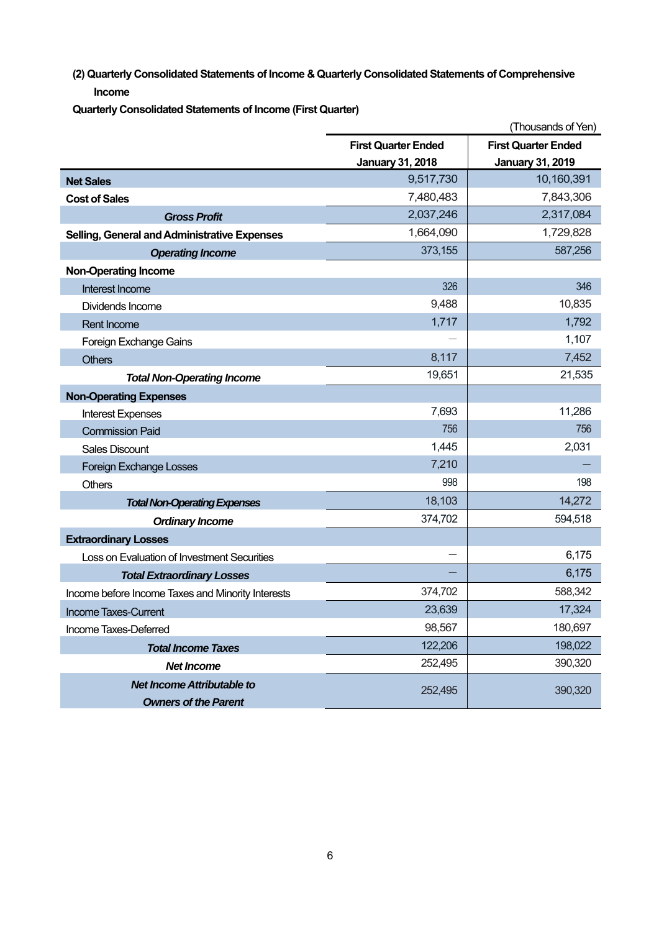**(2) Quarterly Consolidated Statements of Income & Quarterly Consolidated Statements of Comprehensive Income** 

**Quarterly Consolidated Statements of Income (First Quarter)** 

|                                                   |                            | (Thousands of Yen)         |
|---------------------------------------------------|----------------------------|----------------------------|
|                                                   | <b>First Quarter Ended</b> | <b>First Quarter Ended</b> |
|                                                   | <b>January 31, 2018</b>    | <b>January 31, 2019</b>    |
| <b>Net Sales</b>                                  | 9,517,730                  | 10,160,391                 |
| <b>Cost of Sales</b>                              | 7,480,483                  | 7,843,306                  |
| <b>Gross Profit</b>                               | 2,037,246                  | 2,317,084                  |
| Selling, General and Administrative Expenses      | 1,664,090                  | 1,729,828                  |
| <b>Operating Income</b>                           | 373,155                    | 587,256                    |
| <b>Non-Operating Income</b>                       |                            |                            |
| Interest Income                                   | 326                        | 346                        |
| Dividends Income                                  | 9,488                      | 10,835                     |
| <b>Rent Income</b>                                | 1,717                      | 1,792                      |
| Foreign Exchange Gains                            |                            | 1,107                      |
| <b>Others</b>                                     | 8,117                      | 7,452                      |
| <b>Total Non-Operating Income</b>                 | 19,651                     | 21,535                     |
| <b>Non-Operating Expenses</b>                     |                            |                            |
| <b>Interest Expenses</b>                          | 7,693                      | 11,286                     |
| <b>Commission Paid</b>                            | 756                        | 756                        |
| <b>Sales Discount</b>                             | 1,445                      | 2,031                      |
| <b>Foreign Exchange Losses</b>                    | 7,210                      |                            |
| <b>Others</b>                                     | 998                        | 198                        |
| <b>Total Non-Operating Expenses</b>               | 18,103                     | 14,272                     |
| <b>Ordinary Income</b>                            | 374,702                    | 594,518                    |
| <b>Extraordinary Losses</b>                       |                            |                            |
| Loss on Evaluation of Investment Securities       |                            | 6,175                      |
| <b>Total Extraordinary Losses</b>                 |                            | 6,175                      |
| Income before Income Taxes and Minority Interests | 374,702                    | 588,342                    |
| <b>Income Taxes-Current</b>                       | 23,639                     | 17,324                     |
| Income Taxes-Deferred                             | 98,567                     | 180,697                    |
| <b>Total Income Taxes</b>                         | 122,206                    | 198,022                    |
| <b>Net Income</b>                                 | 252,495                    | 390,320                    |
| <b>Net Income Attributable to</b>                 | 252,495                    | 390,320                    |
| <b>Owners of the Parent</b>                       |                            |                            |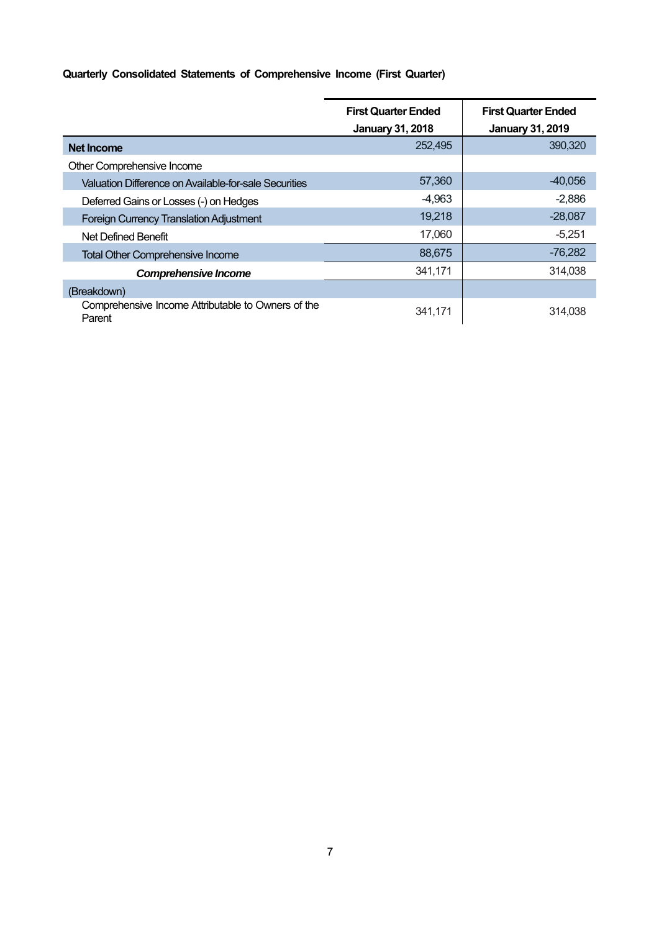## **Quarterly Consolidated Statements of Comprehensive Income (First Quarter)**

|                                                              | <b>First Quarter Ended</b> | <b>First Quarter Ended</b> |  |
|--------------------------------------------------------------|----------------------------|----------------------------|--|
|                                                              | <b>January 31, 2018</b>    | <b>January 31, 2019</b>    |  |
| <b>Net Income</b>                                            | 252,495                    | 390,320                    |  |
| Other Comprehensive Income                                   |                            |                            |  |
| Valuation Difference on Available-for-sale Securities        | 57,360                     | $-40,056$                  |  |
| Deferred Gains or Losses (-) on Hedges                       | $-4,963$                   | $-2,886$                   |  |
| <b>Foreign Currency Translation Adjustment</b>               | 19,218                     | $-28,087$                  |  |
| Net Defined Benefit                                          | 17,060                     | $-5,251$                   |  |
| <b>Total Other Comprehensive Income</b>                      | 88,675                     | $-76,282$                  |  |
| <b>Comprehensive Income</b>                                  | 341,171                    | 314,038                    |  |
| (Breakdown)                                                  |                            |                            |  |
| Comprehensive Income Attributable to Owners of the<br>Parent | 341,171                    | 314.038                    |  |